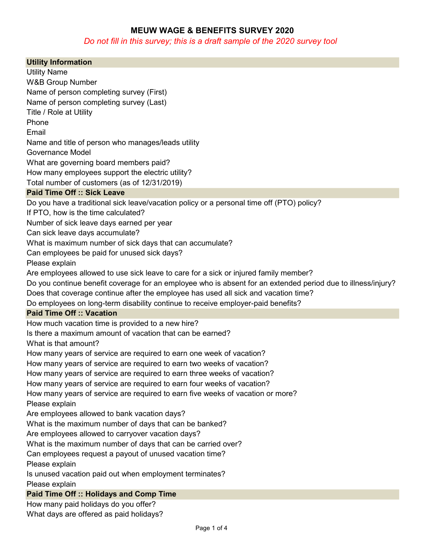## MEUW WAGE & BENEFITS SURVEY 2020

## Do not fill in this survey; this is a draft sample of the 2020 survey tool

| <b>Utility Information</b>                                                                                   |
|--------------------------------------------------------------------------------------------------------------|
| <b>Utility Name</b>                                                                                          |
| <b>W&amp;B Group Number</b>                                                                                  |
| Name of person completing survey (First)                                                                     |
| Name of person completing survey (Last)                                                                      |
| Title / Role at Utility                                                                                      |
| Phone                                                                                                        |
| Email                                                                                                        |
| Name and title of person who manages/leads utility                                                           |
| <b>Governance Model</b>                                                                                      |
| What are governing board members paid?                                                                       |
| How many employees support the electric utility?                                                             |
| Total number of customers (as of 12/31/2019)                                                                 |
| <b>Paid Time Off :: Sick Leave</b>                                                                           |
| Do you have a traditional sick leave/vacation policy or a personal time off (PTO) policy?                    |
| If PTO, how is the time calculated?                                                                          |
| Number of sick leave days earned per year                                                                    |
| Can sick leave days accumulate?                                                                              |
| What is maximum number of sick days that can accumulate?                                                     |
| Can employees be paid for unused sick days?                                                                  |
| Please explain                                                                                               |
| Are employees allowed to use sick leave to care for a sick or injured family member?                         |
| Do you continue benefit coverage for an employee who is absent for an extended period due to illness/injury? |
| Does that coverage continue after the employee has used all sick and vacation time?                          |
| Do employees on long-term disability continue to receive employer-paid benefits?                             |
| <b>Paid Time Off :: Vacation</b>                                                                             |
| How much vacation time is provided to a new hire?                                                            |
| Is there a maximum amount of vacation that can be earned?                                                    |
| What is that amount?                                                                                         |
| How many years of service are required to earn one week of vacation?                                         |
| How many years of service are required to earn two weeks of vacation?                                        |
| How many years of service are required to earn three weeks of vacation?                                      |
| How many years of service are required to earn four weeks of vacation?                                       |
| How many years of service are required to earn five weeks of vacation or more?<br>Please explain             |
| Are employees allowed to bank vacation days?                                                                 |
| What is the maximum number of days that can be banked?                                                       |
| Are employees allowed to carryover vacation days?                                                            |
| What is the maximum number of days that can be carried over?                                                 |
| Can employees request a payout of unused vacation time?                                                      |
| Please explain                                                                                               |
| Is unused vacation paid out when employment terminates?                                                      |
| Please explain                                                                                               |
| <b>Paid Time Off :: Holidays and Comp Time</b>                                                               |
| How many paid holidays do you offer?                                                                         |
| What days are offered as paid holidays?                                                                      |
|                                                                                                              |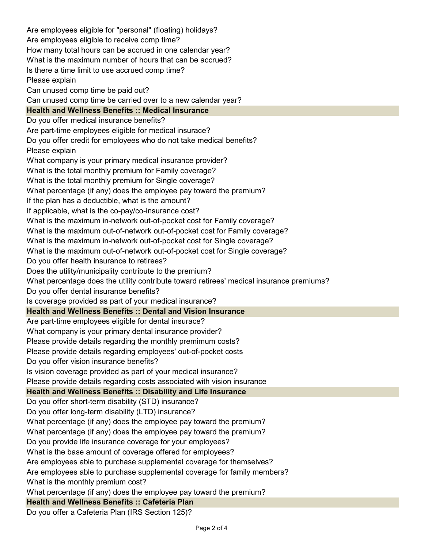Are employees eligible for "personal" (floating) holidays? Are employees eligible to receive comp time? How many total hours can be accrued in one calendar year? What is the maximum number of hours that can be accrued? Is there a time limit to use accrued comp time? Please explain Can unused comp time be paid out? Can unused comp time be carried over to a new calendar year? Health and Wellness Benefits :: Medical Insurance Do you offer medical insurance benefits? Are part-time employees eligible for medical insurace? Do you offer credit for employees who do not take medical benefits? Please explain What company is your primary medical insurance provider? What is the total monthly premium for Family coverage? What is the total monthly premium for Single coverage? What percentage (if any) does the employee pay toward the premium? If the plan has a deductible, what is the amount? If applicable, what is the co-pay/co-insurance cost? What is the maximum in-network out-of-pocket cost for Family coverage? What is the maximum out-of-network out-of-pocket cost for Family coverage? What is the maximum in-network out-of-pocket cost for Single coverage? What is the maximum out-of-network out-of-pocket cost for Single coverage? Do you offer health insurance to retirees? Does the utility/municipality contribute to the premium? What percentage does the utility contribute toward retirees' medical insurance premiums? Do you offer dental insurance benefits? Is coverage provided as part of your medical insurance? Health and Wellness Benefits :: Dental and Vision Insurance Are part-time employees eligible for dental insurace? What company is your primary dental insurance provider? Please provide details regarding the monthly premimum costs? Please provide details regarding employees' out-of-pocket costs Do you offer vision insurance benefits? Is vision coverage provided as part of your medical insurance? Please provide details regarding costs associated with vision insurance Health and Wellness Benefits :: Disability and Life Insurance Do you offer short-term disability (STD) insurance? Do you offer long-term disability (LTD) insurance? What percentage (if any) does the employee pay toward the premium? What percentage (if any) does the employee pay toward the premium? Do you provide life insurance coverage for your employees? What is the base amount of coverage offered for employees? Are employees able to purchase supplemental coverage for themselves? Are employees able to purchase supplemental coverage for family members? What is the monthly premium cost? What percentage (if any) does the employee pay toward the premium? Health and Wellness Benefits :: Cafeteria Plan

Do you offer a Cafeteria Plan (IRS Section 125)?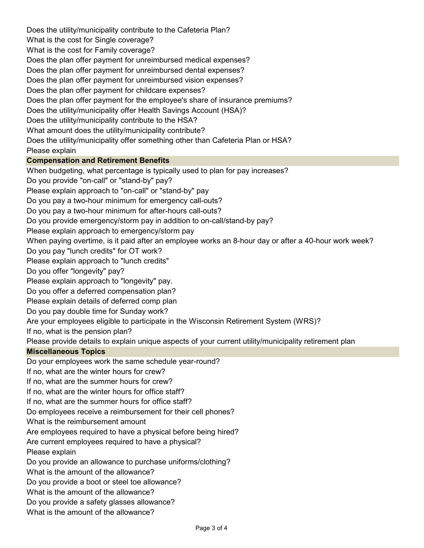Does the utility/municipality contribute to the Cafeteria Plan? What is the cost for Single coverage? What is the cost for Family coverage? Does the plan offer payment for unreimbursed medical expenses? Does the plan offer payment for unreimbursed dental expenses? Does the plan offer payment for unreimbursed vision expenses? Does the plan offer payment for childcare expenses? Does the plan offer payment for the employee's share of insurance premiums? Does the utility/municipality offer Health Savings Account (HSA)? Does the utility/municipality contribute to the HSA? What amount does the utility/municipality contribute? Does the utility/municipality offer something other than Cafeteria Plan or HSA? Please explain Compensation and Retirement Benefits When budgeting, what percentage is typically used to plan for pay increases? Do you provide "on-call" or "stand-by" pay? Please explain approach to "on-call" or "stand-by" pay Do you pay a two-hour minimum for emergency call-outs? Do you pay a two-hour minimum for after-hours call-outs? Do you provide emergency/storm pay in addition to on-call/stand-by pay? Please explain approach to emergency/storm pay When paying overtime, is it paid after an employee works an 8-hour day or after a 40-hour work week? Do you pay "lunch credits" for OT work? Please explain approach to "lunch credits" Do you offer "longevity" pay? Please explain approach to "longevity" pay. Do you offer a deferred compensation plan? Please explain details of deferred comp plan Do you pay double time for Sunday work? Are your employees eligible to participate in the Wisconsin Retirement System (WRS)? If no, what is the pension plan? Please provide details to explain unique aspects of your current utility/municipality retirement plan Miscellaneous Topics Do your employees work the same schedule year-round? If no, what are the winter hours for crew? If no, what are the summer hours for crew? If no, what are the winter hours for office staff? If no, what are the summer hours for office staff? Do employees receive a reimbursement for their cell phones? What is the reimbursement amount Are employees required to have a physical before being hired? Are current employees required to have a physical? Please explain Do you provide an allowance to purchase uniforms/clothing? What is the amount of the allowance? Do you provide a boot or steel toe allowance? What is the amount of the allowance? Do you provide a safety glasses allowance? What is the amount of the allowance?